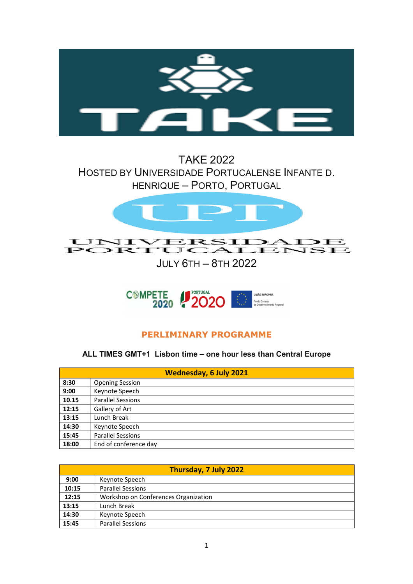

## TAKE 2022 HOSTED BY UNIVERSIDADE PORTUCALENSE INFANTE D. HENRIQUE – PORTO, PORTUGAL



JULY 6TH – 8TH 2022



## **PERLIMINARY PROGRAMME**

**ALL TIMES GMT+1 Lisbon time – one hour less than Central Europe** 

| <b>Wednesday, 6 July 2021</b> |                          |  |  |
|-------------------------------|--------------------------|--|--|
| 8:30                          | <b>Opening Session</b>   |  |  |
| 9:00                          | Keynote Speech           |  |  |
| 10.15                         | <b>Parallel Sessions</b> |  |  |
| 12:15                         | Gallery of Art           |  |  |
| 13:15                         | Lunch Break              |  |  |
| 14:30                         | Keynote Speech           |  |  |
| 15:45                         | <b>Parallel Sessions</b> |  |  |
| 18:00                         | End of conference day    |  |  |

| Thursday, 7 July 2022 |                                      |  |  |
|-----------------------|--------------------------------------|--|--|
| 9:00                  | Keynote Speech                       |  |  |
| 10:15                 | <b>Parallel Sessions</b>             |  |  |
| 12:15                 | Workshop on Conferences Organization |  |  |
| 13:15                 | Lunch Break                          |  |  |
| 14:30                 | Keynote Speech                       |  |  |
| 15:45                 | <b>Parallel Sessions</b>             |  |  |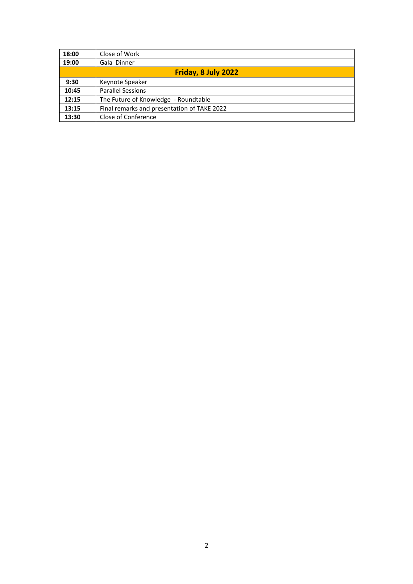| 18:00               | Close of Work                               |  |  |
|---------------------|---------------------------------------------|--|--|
| 19:00               | Gala Dinner                                 |  |  |
| Friday, 8 July 2022 |                                             |  |  |
| 9:30                | Keynote Speaker                             |  |  |
| 10:45               | <b>Parallel Sessions</b>                    |  |  |
| 12:15               | The Future of Knowledge - Roundtable        |  |  |
| 13:15               | Final remarks and presentation of TAKE 2022 |  |  |
| 13:30               | Close of Conference                         |  |  |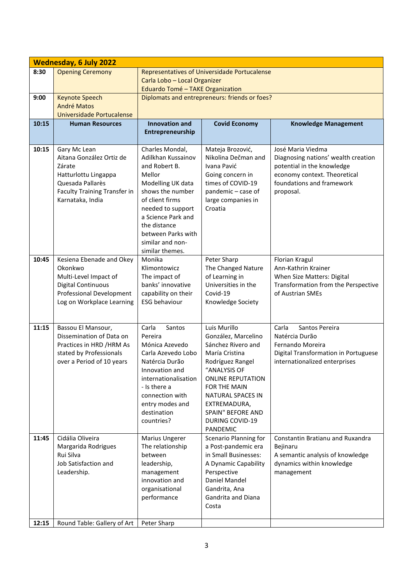|       | <b>Wednesday, 6 July 2022</b>                                                                                                                      |                                                                                                                                                                                                                                                      |                                                                                                                                                                                                                                                                    |                                                                                                                                                                  |  |  |
|-------|----------------------------------------------------------------------------------------------------------------------------------------------------|------------------------------------------------------------------------------------------------------------------------------------------------------------------------------------------------------------------------------------------------------|--------------------------------------------------------------------------------------------------------------------------------------------------------------------------------------------------------------------------------------------------------------------|------------------------------------------------------------------------------------------------------------------------------------------------------------------|--|--|
| 8:30  | <b>Opening Ceremony</b>                                                                                                                            | Representatives of Universidade Portucalense<br>Carla Lobo - Local Organizer<br>Eduardo Tomé - TAKE Organization                                                                                                                                     |                                                                                                                                                                                                                                                                    |                                                                                                                                                                  |  |  |
| 9:00  | <b>Keynote Speech</b><br><b>André Matos</b><br>Universidade Portucalense                                                                           | Diplomats and entrepreneurs: friends or foes?                                                                                                                                                                                                        |                                                                                                                                                                                                                                                                    |                                                                                                                                                                  |  |  |
| 10:15 | <b>Human Resources</b>                                                                                                                             | <b>Innovation and</b><br>Entrepreneurship                                                                                                                                                                                                            | <b>Covid Economy</b>                                                                                                                                                                                                                                               | <b>Knowledge Management</b>                                                                                                                                      |  |  |
| 10:15 | Gary Mc Lean<br>Aitana González Ortiz de<br>Zárate<br>Hatturlottu Lingappa<br>Quesada Pallarès<br>Faculty Training Transfer in<br>Karnataka, India | Charles Mondal,<br>Adilkhan Kussainov<br>and Robert B.<br>Mellor<br>Modelling UK data<br>shows the number<br>of client firms<br>needed to support<br>a Science Park and<br>the distance<br>between Parks with<br>similar and non-<br>similar themes. | Mateja Brozović,<br>Nikolina Dečman and<br>Ivana Pavić<br>Going concern in<br>times of COVID-19<br>pandemic - case of<br>large companies in<br>Croatia                                                                                                             | José Maria Viedma<br>Diagnosing nations' wealth creation<br>potential in the knowledge<br>economy context. Theoretical<br>foundations and framework<br>proposal. |  |  |
| 10:45 | Kesiena Ebenade and Okey<br>Okonkwo<br>Multi-Level Impact of<br><b>Digital Continuous</b><br>Professional Development<br>Log on Workplace Learning | Monika<br>Klimontowicz<br>The impact of<br>banks' innovative<br>capability on their<br><b>ESG behaviour</b>                                                                                                                                          | Peter Sharp<br>The Changed Nature<br>of Learning in<br>Universities in the<br>Covid-19<br>Knowledge Society                                                                                                                                                        | Florian Kragul<br>Ann-Kathrin Krainer<br>When Size Matters: Digital<br>Transformation from the Perspective<br>of Austrian SMEs                                   |  |  |
| 11:15 | Bassou El Mansour,<br>Dissemination of Data on<br>Practices in HRD / HRM As<br>stated by Professionals<br>over a Period of 10 years                | Carla<br>Santos<br>Pereira<br>Mónica Azevedo<br>Carla Azevedo Lobo<br>Natércia Durão<br>Innovation and<br>internationalisation<br>- Is there a<br>connection with<br>entry modes and<br>destination<br>countries?                                    | Luis Murillo<br>González, Marcelino<br>Sánchez Rivero and<br>María Cristina<br>Rodríguez Rangel<br>"ANALYSIS OF<br><b>ONLINE REPUTATION</b><br>FOR THE MAIN<br><b>NATURAL SPACES IN</b><br>EXTREMADURA,<br>SPAIN" BEFORE AND<br><b>DURING COVID-19</b><br>PANDEMIC | Carla<br>Santos Pereira<br>Natércia Durão<br>Fernando Moreira<br>Digital Transformation in Portuguese<br>internationalized enterprises                           |  |  |
| 11:45 | Cidália Oliveira<br>Margarida Rodrigues<br>Rui Silva<br>Job Satisfaction and<br>Leadership.                                                        | Marius Ungerer<br>The relationship<br>between<br>leadership,<br>management<br>innovation and<br>organisational<br>performance                                                                                                                        | Scenario Planning for<br>a Post-pandemic era<br>in Small Businesses:<br>A Dynamic Capability<br>Perspective<br>Daniel Mandel<br>Gandrita, Ana<br>Gandrita and Diana<br>Costa                                                                                       | Constantin Bratianu and Ruxandra<br>Bejinaru<br>A semantic analysis of knowledge<br>dynamics within knowledge<br>management                                      |  |  |
| 12:15 | Round Table: Gallery of Art                                                                                                                        | Peter Sharp                                                                                                                                                                                                                                          |                                                                                                                                                                                                                                                                    |                                                                                                                                                                  |  |  |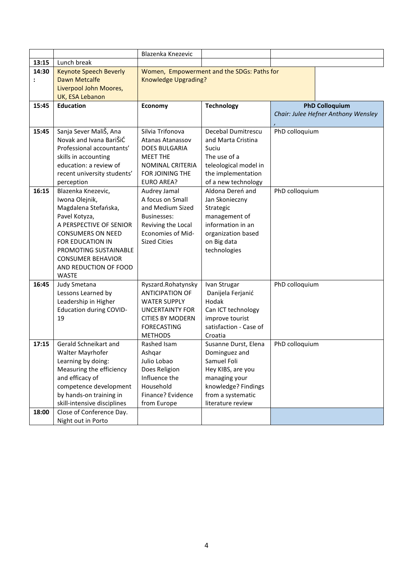|            |                                                                                                                                                                                                                                                               | Blazenka Knezevic                                                                                                                                                |                                                                                                                                                             |                |                                     |
|------------|---------------------------------------------------------------------------------------------------------------------------------------------------------------------------------------------------------------------------------------------------------------|------------------------------------------------------------------------------------------------------------------------------------------------------------------|-------------------------------------------------------------------------------------------------------------------------------------------------------------|----------------|-------------------------------------|
| 13:15      | Lunch break                                                                                                                                                                                                                                                   |                                                                                                                                                                  |                                                                                                                                                             |                |                                     |
| 14:30<br>: | <b>Keynote Speech Beverly</b><br><b>Dawn Metcalfe</b><br>Liverpool John Moores,<br>UK, ESA Lebanon                                                                                                                                                            | Women, Empowerment and the SDGs: Paths for<br><b>Knowledge Upgrading?</b>                                                                                        |                                                                                                                                                             |                |                                     |
| 15:45      | <b>Education</b>                                                                                                                                                                                                                                              | Economy                                                                                                                                                          | <b>Technology</b>                                                                                                                                           |                | <b>PhD Colloquium</b>               |
|            |                                                                                                                                                                                                                                                               |                                                                                                                                                                  |                                                                                                                                                             |                | Chair: Julee Hefner Anthony Wensley |
| 15:45      | Sanja Sever MaliŠ, Ana<br>Novak and Ivana BariŠiĆ<br>Professional accountants'<br>skills in accounting<br>education: a review of<br>recent university students'<br>perception                                                                                 | Silvia Trifonova<br><b>Atanas Atanassov</b><br><b>DOES BULGARIA</b><br><b>MEET THE</b><br>NOMINAL CRITERIA<br>FOR JOINING THE<br><b>EURO AREA?</b>               | Decebal Dumitrescu<br>and Marta Cristina<br>Suciu<br>The use of a<br>teleological model in<br>the implementation<br>of a new technology                     | PhD colloquium |                                     |
| 16:15      | Blazenka Knezevic,<br>Iwona Olejnik,<br>Magdalena Stefańska,<br>Pavel Kotyza,<br>A PERSPECTIVE OF SENIOR<br><b>CONSUMERS ON NEED</b><br><b>FOR EDUCATION IN</b><br>PROMOTING SUSTAINABLE<br><b>CONSUMER BEHAVIOR</b><br>AND REDUCTION OF FOOD<br><b>WASTE</b> | Audrey Jamal<br>A focus on Small<br>and Medium Sized<br><b>Businesses:</b><br>Reviving the Local<br><b>Economies of Mid-</b><br><b>Sized Cities</b>              | Aldona Dereń and<br>Jan Skonieczny<br>Strategic<br>management of<br>information in an<br>organization based<br>on Big data<br>technologies                  | PhD colloquium |                                     |
| 16:45      | Judy Smetana<br>Lessons Learned by<br>Leadership in Higher<br>Education during COVID-<br>19                                                                                                                                                                   | Ryszard.Rohatynsky<br><b>ANTICIPATION OF</b><br><b>WATER SUPPLY</b><br><b>UNCERTAINTY FOR</b><br><b>CITIES BY MODERN</b><br><b>FORECASTING</b><br><b>METHODS</b> | Ivan Strugar<br>Danijela Ferjanić<br>Hodak<br>Can ICT technology<br>improve tourist<br>satisfaction - Case of<br>Croatia                                    | PhD colloquium |                                     |
| 17:15      | Gerald Schneikart and<br>Walter Mayrhofer<br>Learning by doing:<br>Measuring the efficiency<br>and efficacy of<br>competence development<br>by hands-on training in<br>skill-intensive disciplines                                                            | Rashed Isam<br>Ashqar<br>Julio Lobao<br>Does Religion<br>Influence the<br>Household<br>Finance? Evidence<br>from Europe                                          | Susanne Durst, Elena<br>Dominguez and<br>Samuel Foli<br>Hey KIBS, are you<br>managing your<br>knowledge? Findings<br>from a systematic<br>literature review | PhD colloquium |                                     |
| 18:00      | Close of Conference Day.<br>Night out in Porto                                                                                                                                                                                                                |                                                                                                                                                                  |                                                                                                                                                             |                |                                     |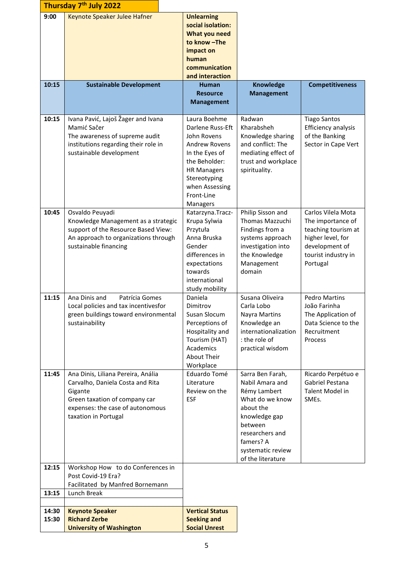|                | Thursday 7 <sup>th</sup> July 2022                                                                                                                                             |                                                                                                                                                                                              |                                                                                                                                                                                           |                                                                                                                                          |
|----------------|--------------------------------------------------------------------------------------------------------------------------------------------------------------------------------|----------------------------------------------------------------------------------------------------------------------------------------------------------------------------------------------|-------------------------------------------------------------------------------------------------------------------------------------------------------------------------------------------|------------------------------------------------------------------------------------------------------------------------------------------|
| 9:00           | Keynote Speaker Julee Hafner                                                                                                                                                   | <b>Unlearning</b><br>social isolation:<br>What you need<br>to know-The<br>impact on<br>human<br>communication<br>and interaction                                                             |                                                                                                                                                                                           |                                                                                                                                          |
| 10:15          | <b>Sustainable Development</b>                                                                                                                                                 | <b>Human</b><br><b>Resource</b><br><b>Management</b>                                                                                                                                         | <b>Knowledge</b><br><b>Management</b>                                                                                                                                                     | <b>Competitiveness</b>                                                                                                                   |
| 10:15          | Ivana Pavić, Lajoš Žager and Ivana<br>Mamić Sačer<br>The awareness of supreme audit<br>institutions regarding their role in<br>sustainable development                         | Laura Boehme<br>Darlene Russ-Eft<br>John Rovens<br><b>Andrew Rovens</b><br>In the Eyes of<br>the Beholder:<br><b>HR Managers</b><br>Stereotyping<br>when Assessing<br>Front-Line<br>Managers | Radwan<br>Kharabsheh<br>Knowledge sharing<br>and conflict: The<br>mediating effect of<br>trust and workplace<br>spirituality.                                                             | <b>Tiago Santos</b><br>Efficiency analysis<br>of the Banking<br>Sector in Cape Vert                                                      |
| 10:45          | Osvaldo Peuyadi<br>Knowledge Management as a strategic<br>support of the Resource Based View:<br>An approach to organizations through<br>sustainable financing                 | Katarzyna. Tracz-<br>Krupa Sylwia<br>Przytuła<br>Anna Bruska<br>Gender<br>differences in<br>expectations<br>towards<br>international<br>study mobility                                       | Philip Sisson and<br>Thomas Mazzuchi<br>Findings from a<br>systems approach<br>investigation into<br>the Knowledge<br>Management<br>domain                                                | Carlos Vilela Mota<br>The importance of<br>teaching tourism at<br>higher level, for<br>development of<br>tourist industry in<br>Portugal |
| 11:15          | Ana Dinis and<br>Patrícia Gomes<br>Local policies and tax incentivesfor<br>green buildings toward environmental<br>sustainability                                              | Daniela<br>Dimitrov<br>Susan Slocum<br>Perceptions of<br>Hospitality and<br>Tourism (HAT)<br>Academics<br>About Their<br>Workplace                                                           | Susana Oliveira<br>Carla Lobo<br>Nayra Martins<br>Knowledge an<br>internationalization<br>: the role of<br>practical wisdom                                                               | <b>Pedro Martins</b><br>João Farinha<br>The Application of<br>Data Science to the<br>Recruitment<br>Process                              |
| 11:45          | Ana Dinis, Liliana Pereira, Anália<br>Carvalho, Daniela Costa and Rita<br>Gigante<br>Green taxation of company car<br>expenses: the case of autonomous<br>taxation in Portugal | Eduardo Tomé<br>Literature<br>Review on the<br><b>ESF</b>                                                                                                                                    | Sarra Ben Farah,<br>Nabil Amara and<br>Rémy Lambert<br>What do we know<br>about the<br>knowledge gap<br>between<br>researchers and<br>famers? A<br>systematic review<br>of the literature | Ricardo Perpétuo e<br>Gabriel Pestana<br>Talent Model in<br>SMEs.                                                                        |
| 12:15<br>13:15 | Workshop How to do Conferences in<br>Post Covid-19 Era?<br>Facilitated by Manfred Bornemann<br>Lunch Break                                                                     |                                                                                                                                                                                              |                                                                                                                                                                                           |                                                                                                                                          |
| 14:30<br>15:30 | <b>Keynote Speaker</b><br><b>Richard Zerbe</b><br><b>University of Washington</b>                                                                                              | <b>Vertical Status</b><br><b>Seeking and</b><br><b>Social Unrest</b>                                                                                                                         |                                                                                                                                                                                           |                                                                                                                                          |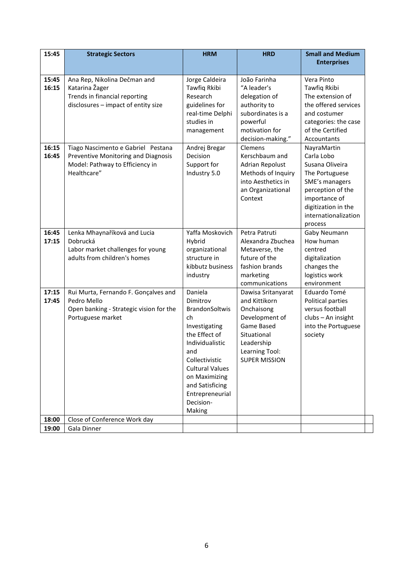| 15:45          | <b>Strategic Sectors</b>                                     | <b>HRM</b>                 | <b>HRD</b>                         | <b>Small and Medium</b>                  |
|----------------|--------------------------------------------------------------|----------------------------|------------------------------------|------------------------------------------|
|                |                                                              |                            |                                    | <b>Enterprises</b>                       |
| 15:45          | Ana Rep, Nikolina Dečman and                                 | Jorge Caldeira             | João Farinha                       | Vera Pinto                               |
| 16:15          | Katarina Žager                                               | Tawfiq Rkibi               | "A leader's                        | Tawfiq Rkibi                             |
|                | Trends in financial reporting                                | Research                   | delegation of                      | The extension of                         |
|                | disclosures - impact of entity size                          | guidelines for             | authority to                       | the offered services                     |
|                |                                                              | real-time Delphi           | subordinates is a                  | and costumer                             |
|                |                                                              | studies in                 | powerful<br>motivation for         | categories: the case<br>of the Certified |
|                |                                                              | management                 | decision-making."                  | Accountants                              |
| 16:15          | Tiago Nascimento e Gabriel Pestana                           | Andrej Bregar              | Clemens                            | NayraMartin                              |
| 16:45          | Preventive Monitoring and Diagnosis                          | Decision                   | Kerschbaum and                     | Carla Lobo                               |
|                | Model: Pathway to Efficiency in                              | Support for                | Adrian Repolust                    | Susana Oliveira                          |
|                | Healthcare"                                                  | Industry 5.0               | Methods of Inquiry                 | The Portuguese                           |
|                |                                                              |                            | into Aesthetics in                 | SME's managers                           |
|                |                                                              |                            | an Organizational                  | perception of the                        |
|                |                                                              |                            | Context                            | importance of                            |
|                |                                                              |                            |                                    | digitization in the                      |
|                |                                                              |                            |                                    | internationalization                     |
|                |                                                              |                            |                                    | process                                  |
| 16:45<br>17:15 | Lenka Mhaynaříková and Lucia<br>Dobrucká                     | Yaffa Moskovich<br>Hybrid  | Petra Patruti<br>Alexandra Zbuchea | Gaby Neumann<br>How human                |
|                | Labor market challenges for young                            | organizational             | Metaverse, the                     | centred                                  |
|                | adults from children's homes                                 | structure in               | future of the                      | digitalization                           |
|                |                                                              | kibbutz business           | fashion brands                     | changes the                              |
|                |                                                              | industry                   | marketing                          | logistics work                           |
|                |                                                              |                            | communications                     | environment                              |
| 17:15          | Rui Murta, Fernando F. Gonçalves and                         | Daniela                    | Dawisa Sritanyarat                 | Eduardo Tomé                             |
| 17:45          | Pedro Mello                                                  | Dimitrov<br>BrandonSoltwis | and Kittikorn                      | Political parties<br>versus football     |
|                | Open banking - Strategic vision for the<br>Portuguese market | ch                         | Onchaisong<br>Development of       | clubs - An insight                       |
|                |                                                              | Investigating              | Game Based                         | into the Portuguese                      |
|                |                                                              | the Effect of              | Situational                        | society                                  |
|                |                                                              | Individualistic            | Leadership                         |                                          |
|                |                                                              | and                        | Learning Tool:                     |                                          |
|                |                                                              | Collectivistic             | <b>SUPER MISSION</b>               |                                          |
|                |                                                              | <b>Cultural Values</b>     |                                    |                                          |
|                |                                                              | on Maximizing              |                                    |                                          |
|                |                                                              | and Satisficing            |                                    |                                          |
|                |                                                              | Entrepreneurial            |                                    |                                          |
|                |                                                              | Decision-                  |                                    |                                          |
|                |                                                              | Making                     |                                    |                                          |
| 18:00<br>19:00 | Close of Conference Work day<br>Gala Dinner                  |                            |                                    |                                          |
|                |                                                              |                            |                                    |                                          |